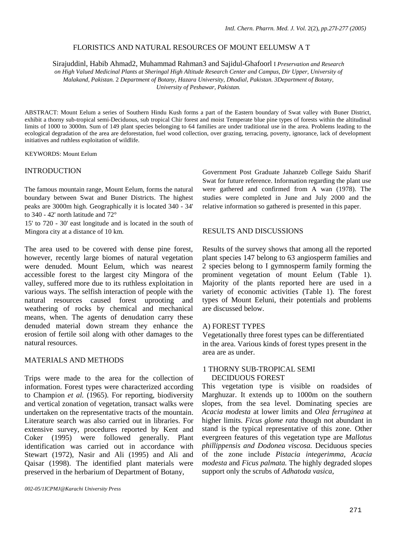# FLORISTICS AND NATURAL RESOURCES OF MOUNT EELUMSW A T

Sirajuddinl, Habib Ahmad2, Muhammad Rahman3 and Sajidul-Ghafoorl I *Preservation and Research on High Valued Medicinal Plants at Sheringal High Altitude Research Center and Campus, Dir Upper, University of* 

*Malakand, Pakistan.* 2 *Department of Botany, Hazara University, Dhodial, Pakistan. 3Department of Botany, University of Peshawar, Pakistan.* 

ABSTRACT: Mount Eelum a series of Southern Hindu Kush forms a part of the Eastern boundary of Swat valley with Buner District, exhibit a thorny sub-tropical semi-Deciduous, sub tropical Chir forest and moist Temperate blue pine types of forests within the altitudinal limits of 1000 to 3000m. Sum of 149 plant species belonging to 64 families are under traditional use in the area. Problems leading to the ecological degradation of the area are deforestation, fuel wood collection, over grazing, terracing, poverty, ignorance, lack of development initiatives and ruthless exploitation of wildlife.

KEYWORDS: Mount Eelum

# INTRODUCTION

The famous mountain range, Mount Eelum, forms the natural boundary between Swat and Buner Districts. The highest peaks are 3000m high. Geographically it is located 340 - 34' to 340 - 42' north latitude and 72°

15' to 720 - 30' east longitude and is located in the south of Mingora city at a distance of 10 km.

The area used to be covered with dense pine forest, however, recently large biomes of natural vegetation were denuded. Mount Eelum, which was nearest accessible forest to the largest city Mingora of the valley, suffered more due to its ruthless exploitation in various ways. The selfish interaction of people with the natural resources caused forest uprooting and weathering of rocks by chemical and mechanical means, when. The agents of denudation carry these denuded material down stream they enhance the erosion of fertile soil along with other damages to the natural resources.

# MATERIALS AND METHODS

Trips were made to the area for the collection of information. Forest types were characterized according to Champion *et al.* (1965). For reporting, biodiversity and vertical zonation of vegetation, transact walks were undertaken on the representative tracts of the mountain. Literature search was also carried out in libraries. For extensive survey, procedures reported by Kent and Coker (1995) were followed generally. Plant identification was carried out in accordance with Stewart (1972), Nasir and Ali (1995) and Ali and Qaisar (1998). The identified plant materials were preserved in the herbarium of Department of Botany,

Government Post Graduate Jahanzeb College Saidu Sharif Swat for future reference. Information regarding the plant use were gathered and confirmed from A wan (1978). The studies were completed in June and July 2000 and the relative information so gathered is presented in this paper.

# RESULTS AND DISCUSSIONS

Results of the survey shows that among all the reported plant species 147 belong to 63 angiosperm families and 2 species belong to I gymnosperm family forming the prominent vegetation of mount Eelum (Table 1). Majority of the plants reported here are used in a variety of economic activities (Table 1). The forest types of Mount Eeluni, their potentials and problems are discussed below.

# A) FOREST TYPES

Vegetationally three forest types can be differentiated in the area. Various kinds of forest types present in the area are as under.

## 1 THORNY SUB-TROPICAL SEMI DECIDUOUS FOREST

This vegetation type is visible on roadsides of Marghuzar. It extends up to 1000m on the southern slopes, from the sea level. Dominating species are *Acacia modesta* at lower limits and *Olea ferruginea* at higher limits. *Ficus glome rata* though not abundant in stand is the typical representative of this zone. Other evergreen features of this vegetation type are *Mallotus phillippensis and Dodonea viscosa.* Deciduous species of the zone include *Pistacia integerimma, Acacia modesta* and *Ficus palmata.* The highly degraded slopes support only the scrubs of *Adhatoda vasica,*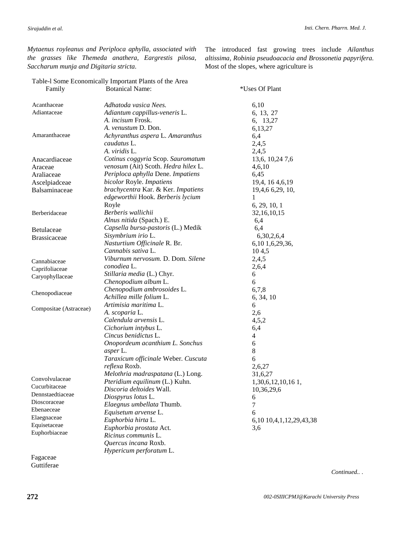*Mytaenus royleanus and Periploca aphylla, associated with the grasses like Themeda anathera, Eargrestis pilosa, Saccharum munja and Digitaria stricta.* 

The introduced fast growing trees include *Ailanthus altissima, Robinia pseudoacacia and Brossonetia papyrifera.*  Most of the slopes, where agriculture is

|                                   | Table-I Some Economically Important Plants of the Area |                         |
|-----------------------------------|--------------------------------------------------------|-------------------------|
| Family                            | <b>Botanical Name:</b>                                 | *Uses Of Plant          |
| Acanthaceae                       | Adhatoda vasica Nees.                                  | 6,10                    |
| Adiantaceae                       | Adiantum cappillus-veneris L.                          | 6, 13, 27               |
|                                   | A. incisum Frosk.                                      | 6, 13,27                |
|                                   | A. venustum D. Don.                                    | 6,13,27                 |
| Amaranthaceae                     | Achyranthus aspera L. Amaranthus                       | 6,4                     |
|                                   | caudatus L.                                            | 2,4,5                   |
|                                   | A. viridis L.                                          | 2,4,5                   |
| Anacardiaceae                     | Cotinus coggyria Scop. Sauromatum                      | 13,6, 10,24 7,6         |
| Araceae                           | venosum (Ait) Scoth. Hedra hilex L.                    | 4,6,10                  |
| Araliaceae                        | Periploca aphylla Dene. Impatiens                      | 6,45                    |
| Ascelpiadceae                     | bicolor Royle. Impatiens                               | 19,4, 16 4, 6, 19       |
| Balsaminaceae                     | brachycentra Kar. & Ker. Impatiens                     | 19,4,6 6,29, 10,        |
|                                   | edgeworthii Hook. Berberis lycium                      | 1                       |
|                                   | Royle                                                  | 6, 29, 10, 1            |
| Berberidaceae                     | Berberis wallichii                                     | 32, 16, 10, 15          |
|                                   | Alnus nitida (Spach.) E.                               | 6,4                     |
| Betulaceae                        | Capsella bursa-pastoris (L.) Medik                     | 6,4                     |
| <b>Brassicaceae</b>               | Sisymbrium irio L.                                     | 6,30,2,6,4              |
|                                   | Nasturtium Officinale R. Br.                           | 6,10 1,6,29,36,         |
|                                   | Cannabis sativa L.                                     | 104,5                   |
| Cannabiaceae                      | Viburnum nervosum. D. Dom. Silene                      | 2,4,5                   |
| Caprifoliaceae                    | conodiea L.                                            | 2,6,4                   |
| Caryophyllaceae                   | Stillaria media (L.) Chyr.                             | 6                       |
|                                   | Chenopodium album L.                                   | 6                       |
| Chenopodiaceae                    | Chenopodium ambrosoides L.                             | 6,7,8                   |
|                                   | Achillea mille folium L.                               | 6, 34, 10               |
|                                   | Artimisia maritima L.                                  | 6                       |
| Compositae (Astraceae)            | A. scoparia L.                                         | 2,6                     |
|                                   | Calendula arvensis L.                                  | 4,5,2                   |
|                                   | Cichorium intybus L.                                   | 6,4                     |
|                                   | Cincus benidictus L.                                   | 4                       |
|                                   | Onopordeum acanthium L. Sonchus                        | 6                       |
|                                   | asper L.                                               | 8                       |
|                                   | Taraxicum officinale Weber. Cuscuta                    | 6                       |
|                                   | reflexa Roxb.                                          | 2,6,27                  |
| Convolvulaceae                    | Melothria madraspatana (L.) Long.                      | 31,6,27                 |
|                                   | Pteridium equilinum (L.) Kuhn.                         | 1,30,6,12,10,161,       |
| Cucurbitaceae<br>Dennstaedtiaceae | Discoria deltoides Wall.                               | 10,36,29,6              |
| Dioscoraceae                      | Diospyrus lotus L.                                     | 6                       |
|                                   | Elaegnus umbellata Thumb.                              | 7                       |
| Ebenaeceae                        | Equisetum arvense L.                                   | 6                       |
| Elaegnaceae<br>Equisetaceae       | Euphorbia hirta L.                                     | 6,10 10,4,1,12,29,43,38 |
| Euphorbiaceae                     | Euphorbia prostata Act.                                | 3,6                     |
|                                   | Ricinus communis L.                                    |                         |
|                                   | Quercus incana Roxb.                                   |                         |
|                                   | Hypericum perforatum L.                                |                         |

Fagaceae **Guttiferae** 

*Continued..* .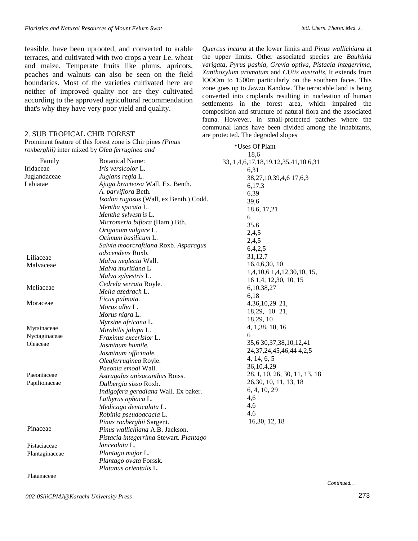feasible, have been uprooted, and converted to arable terraces, and cultivated with two crops a year Le. wheat and maize. Temperate fruits like plums, apricots, peaches and walnuts can also be seen on the field boundaries. Most of the varieties cultivated here are neither of improved quality nor are they cultivated according to the approved agricultural recommendation that's why they have very poor yield and quality.

### 2. SUB TROPICAL CHIR FOREST

Prominent feature of this forest zone is Chir pines *(Pinus roxberghii)* inter mixed by *Olea ferruginea and* 

*Quercus incana* at the lower limits and *Pinus wallichiana* at the upper limits. Other associated species are *Bauhinia varigata, Pyrus pashia, Grevia optiva, Pistacia integerrima, Xanthoxylum aromatum* and *CUtis australis.* It extends from lOOOm to 1500m particularly on the southern faces. This zone goes up to Jawzo Kandow. The terracable land is being converted into croplands resulting in nucleation of human settlements in the forest area, which impaired the composition and structure of natural flora and the associated fauna. However, in small-protected patches where the communal lands have been divided among the inhabitants, are protected. The degraded slopes

|                | Pronunent reature of this forest zone is Chif phies ( <i>Finus</i> | *Uses Of Plant                      |
|----------------|--------------------------------------------------------------------|-------------------------------------|
|                | roxberghii) inter mixed by Olea ferruginea and                     | 18,6                                |
| Family         | <b>Botanical Name:</b>                                             | 33, 1,4,6,17,18,19,12,35,41,10 6,31 |
| Iridaceae      | Iris versicolor L.                                                 | 6,31                                |
| Juglandaceae   | Juglans regia L.                                                   | 38, 27, 10, 39, 4, 617, 6, 3        |
| Labiatae       | Ajuga bracteosa Wall. Ex. Benth.                                   | 6,17,3                              |
|                | A. parviflora Beth.                                                | 6,39                                |
|                | Isodon rugosus (Wall, ex Benth.) Codd.                             | 39,6                                |
|                | Mentha spicata L.                                                  | 18,6, 17,21                         |
|                | Mentha sylvestris L.                                               | 6                                   |
|                | Micromeria biflora (Ham.) Bth.                                     | 35,6                                |
|                | Origanum vulgare L.                                                | 2,4,5                               |
|                | Ocimum basilicum L.                                                | 2,4,5                               |
|                | Salvia moorcraftiana Roxb. Asparagus                               | 6,4,2,5                             |
| Liliaceae      | adscendens Roxb.                                                   | 31,12,7                             |
| Malvaceae      | Malva neglecta Wall.                                               | 16,4,6,30,10                        |
|                | Malva muritiana L                                                  | 1,4,10,6 1,4,12,30,10, 15,          |
|                | Malva sylvestris L.                                                | 16 1,4, 12,30, 10, 15               |
| Meliaceae      | Cedrela serrata Royle.                                             | 6,10,38,27                          |
|                | Melia azedrach L.                                                  | 6,18                                |
| Moraceae       | Ficus palmata.                                                     | 4,36,10,29 21,                      |
|                | Morus alba L.                                                      | 18,29, 10 21,                       |
|                | Morus nigra L.                                                     | 18,29, 10                           |
|                | Myrsine africana L.                                                | 4, 1,38, 10, 16                     |
| Myrsinaceae    | Mirabilis jalapa L.                                                | 6                                   |
| Nyctaginaceae  | Fraxinus excerlsior L.                                             |                                     |
| Oleaceae       | Jasminum humile.                                                   | 35,6 30, 37, 38, 10, 12, 41         |
|                | Jasminum officinale.                                               | 24, 37, 24, 45, 46, 44, 4, 2, 5     |
|                | Oleaferruginea Royle.                                              | 4, 14, 6, 5                         |
|                | <i>Paeonia emodi</i> Wall.                                         | 36, 10, 4, 29                       |
| Paeoniaceae    | Astragalus anisacanthus Boiss.                                     | 28, I, 10, 26, 30, 11, 13, 18       |
| Papilionaceae  | Dalbergia sisso Roxb.                                              | 26, 30, 10, 11, 13, 18              |
|                | Indigofera geradiana Wall. Ex baker.                               | 6, 4, 10, 29                        |
|                | Lathyrus aphaca L.                                                 | 4,6                                 |
|                | Medicago denticulata L.                                            | 4,6                                 |
|                | Robinia pseudoacacia L.                                            | 4,6                                 |
|                | Pinus roxberghii Sargent.                                          | 16,30, 12, 18                       |
| Pinaceae       | Pinus wallichiana A.B. Jackson.                                    |                                     |
|                | Pistacia integerrima Stewart. Plantago                             |                                     |
| Pistaciaceae   | lanceolata L.                                                      |                                     |
| Plantaginaceae | Plantago major L.                                                  |                                     |
|                | Plantago ovata Forssk.                                             |                                     |
|                | Platanus orientalis L.                                             |                                     |

Platanaceae

*Continued..* .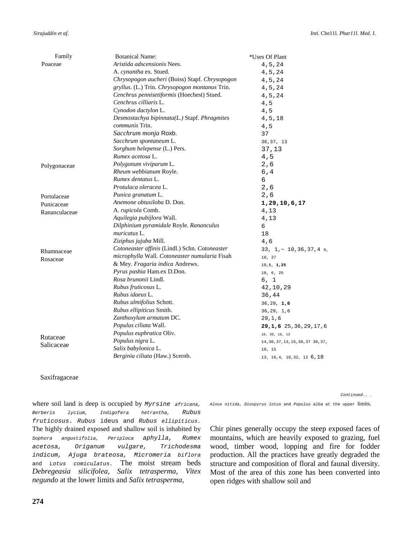| Family        | <b>Botanical Name:</b>                         | *Uses Of Plant                     |
|---------------|------------------------------------------------|------------------------------------|
| Poaceae       | Aristida adscensionis Nees.                    | $4\,, 5\,, 24$                     |
|               | A. cynantha ex. Stued.                         | 4, 5, 24                           |
|               | Chrysopogon aucheri (Boiss) Stapf. Chrysopogon | 4,5,24                             |
|               | gryllus. (L.) Trin. Chrysopogon montanus Trin. | 4, 5, 24                           |
|               | Cenchrus pennisetiformis (Hoechest) Stued.     | 4,5,24                             |
|               | Cenchrus cilliaris L.                          | 4,5                                |
|               | Cynodon dactylon L.                            | 4,5                                |
|               | Desmostachya bipinnata(L.) Stapf. Phragmites   | 4, 5, 18                           |
|               | <i>communis</i> Trin.                          | 4,5                                |
|               | Sacchrum monja Roxb.                           | 37                                 |
|               | Sacchrum spontaneum L.                         | 36, 37, 13                         |
|               | Sorghum helepense (L.) Pers.                   | 37,13                              |
|               | Rumex acetosa L.                               | 4,5                                |
| Polygonaceae  | Polygonum viviparum L.                         | 2,6                                |
|               | Rheum webbianum Royle.                         | 6, 4                               |
|               | Rumex dentatus L.                              | 6                                  |
|               | Protulaca oleracea L.                          | 2, 6                               |
| Portulaceae   | Punica granatum L.                             | 2,6                                |
| Punicaceae    | Anemone obtusiloba D. Don.                     | 1,29,10,6,17                       |
| Rananculaceae | A. rupicola Comb.                              | 4,13                               |
|               | Aquilegia pubijlora Wall.                      | 4,13                               |
|               | Dilphinium pyramidale Royle. Rananculus        | 6                                  |
|               | <i>muricatus</i> L.                            | 18                                 |
|               | Ziziphus jujuba Mill.                          | 4,6                                |
| Rhamnaceae    | Cotoneaster affinis (Lindl.) Schn. Cotoneaster | $33, 1, \sim 10, 36, 37, 46,$      |
| Rosaceae      | microphylla Wall. Cotoneaster numularia Fisah  | 10, 37                             |
|               | & Mey. Fragaria indica Andrews.                | 10, 6, 1, 25                       |
|               | Pyrus pashia Ham.ex D.Don.                     | 10, 6, 25                          |
|               | <i>Rosa brunonii</i> Lindl.                    | 6, 1                               |
|               | Rubus fruticosus L.                            | 42,10,29                           |
|               | Rubus idaeus L.                                | 36,44                              |
|               | Rubus ulmifolius Schott.                       | 36, 29, 1, 6                       |
|               | Rubus ellipiticus Smith.                       | 36, 29, 1, 6                       |
|               | Zanthoxylum armatum DC.                        | 29, 1, 6                           |
|               | Populus ciliata Wall.                          | 29, 1, 6 25, 36, 29, 17, 6         |
|               | Populus euphratica Oliv.                       | 10, 38, 16, 13                     |
| Rutaceae      | Populus nigra L.                               | 14, 30, 37, 13, 15, 38, 37 30, 37, |
| Salicaceae    | Salix babylonica L.                            | 10, 15                             |
|               | Berginia ciliata (Haw.) Scernb.                | 13, 16, 4, 10, 32, 12 6, 18        |

#### Saxifragaceae

where soil land is deep is occupied by Myrsine africana, Alnus nitida, Diospyrus lotus and Populus alba at the upper limits. Berberis lycium, Indigofera hetrantha, Rubus fruticosus. Rubus ideus and Rubus ellipiticus. The highly drained exposed and shallow soil is inhabited by Sophora angustifolia, Periploca aphylla, Rumex acetosa, Origanum vulgare, Trichodesma indicum, Ajuga brateosa, Micromeria biflora and Lotus comiculatus. The moist stream beds *Debregeasia silicifolea, Salix tetrasperma, Vitex negundo* at the lower limits and *Salix tetrasperma,*

Continued.. .

Chir pines generally occupy the steep exposed faces of mountains, which are heavily exposed to grazing, fuel wood, timber wood, lopping and fire for fodder production. All the practices have greatly degraded the structure and composition of floral and faunal diversity. Most of the area of this zone has been converted into open ridges with shallow soil and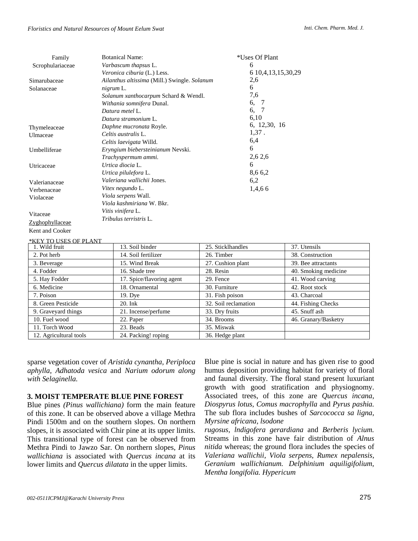#### *Floristics and Natural Resources of Mount Eelum Swat*

| Family           | <b>Botanical Name:</b>                       | *Uses Of Plant          |                 |
|------------------|----------------------------------------------|-------------------------|-----------------|
| Scrophulariaceae | Varbascum thapsus L.                         | 6                       |                 |
|                  | Veronica ciburia (L.) Less.                  | 6 10, 4, 13, 15, 30, 29 |                 |
| Simarubaceae     | Ailanthus altissima (Mill.) Swingle. Solanum | 2,6                     |                 |
| Solanaceae       | nigrum L.                                    | 6                       |                 |
|                  | Solanum xanthocarpum Schard & Wendl.         | 7,6                     |                 |
|                  | Withania somnifera Dunal.                    | 6,<br>-7                |                 |
|                  | Datura metel L.                              | 6,<br>7                 |                 |
|                  | Datura stramonium L.                         | 6,10                    |                 |
| Thymeleaceae     | Daphne mucronata Royle.                      | 6, 12,30, 16            |                 |
| Ulmaceae         | Celtis australis L.                          | $1,37$ .                |                 |
|                  | Celtis laevigata Willd.                      | 6,4                     |                 |
| Umbelliferae     | Eryngium biebersteinianum Nevski.            | 6                       |                 |
|                  | Trachyspermum ammi.                          | 2,6 2,6                 |                 |
| Utricaceae       | Urtica diocia L.                             | 6                       |                 |
|                  | Urtica pilulefora L.                         | 8,66,2                  |                 |
| Valerianaceae    | Valeriana wallichii Jones.                   | 6,2                     |                 |
| Verbenaceae      | Vitex negundo L.                             | 1,4,66                  |                 |
| Violaceae        | Viola serpens Wall.                          |                         |                 |
|                  | Viola kashmiriana W. Bkr.                    |                         |                 |
|                  | Vitis vinifera L.                            |                         |                 |
| Vitaceae         | Tribulus terristris L.                       |                         |                 |
| Zyghophyllaceae  |                                              |                         |                 |
| Kent and Cooker  |                                              |                         |                 |
| TO USES OF PLANT |                                              |                         |                 |
| 1. Wild fruit    | 13. Soil binder                              | 25. Sticklhandles       | 37. Utens       |
| $2.5 + 1.$       | $1.4$ $0.11 f_{1.4}$ $11 -$                  | $26.5$ Times $\sim$     | 20 <sub>0</sub> |

| 1. Wild fruit          | 13. Soil binder           | 25. Sticklhandles    | 37. Utensils         |
|------------------------|---------------------------|----------------------|----------------------|
| 2. Pot herb            | 14. Soil fertilizer       | 26. Timber           | 38. Construction     |
| 3. Beverage            | 15. Wind Break            | 27. Cushion plant    | 39. Bee attractants  |
| 4. Fodder              | 16. Shade tree            | 28. Resin            | 40. Smoking medicine |
| 5. Hay Fodder          | 17. Spice/flavoring agent | 29. Fence            | 41. Wood carving     |
| 6. Medicine            | 18. Ornamental            | 30. Furniture        | 42. Root stock       |
| 7. Poison              | 19. Dye                   | 31. Fish poison      | 43. Charcoal         |
| 8. Green Pesticide     | $20.$ Ink                 | 32. Soil reclamation | 44. Fishing Checks   |
| 9. Graveyard things    | 21. Incense/perfume       | 33. Dry fruits       | 45. Snuff ash        |
| 10. Fuel wood          | 22. Paper                 | 34. Brooms           | 46. Granary/Basketry |
| 11. Torch Wood         | 23. Beads                 | 35. Miswak           |                      |
| 12. Agricultural tools | 24. Packing! roping       | 36. Hedge plant      |                      |

sparse vegetation cover of *Aristida cynantha, Periploca aphylla, Adhatoda vesica* and *Narium odorum along with Selaginella.*

# **3. MOIST TEMPERATE BLUE PINE FOREST**

Blue pines *(Pinus wallichiana)* form the main feature of this zone. It can be observed above a village Methra Pindi 1500m and on the southern slopes. On northern slopes, it is associated with Chir pine at its upper limits. This transitional type of forest can be observed from Methra Pindi to Jawzo Sar. On northern slopes, *Pinus wallichiana* is associated with *Quercus incana* at its lower limits and *Quercus dilatata* in the upper limits.

Blue pine is social in nature and has given rise to good humus deposition providing habitat for variety of floral and faunal diversity. The floral stand present luxuriant growth with good stratification and physiognomy. Associated trees, of this zone are *Quercus incana, Diospyrus lotus, Comus macrophylla* and *Pyrus pashia.*  The sub flora includes bushes of *Sarcococca sa ligna, Myrsine africana, lsodone*

*rugosus, lndigofera gerardiana* and *Berberis lycium.*  Streams in this zone have fair distribution of *Alnus nitida* whereas; the ground flora includes the species of *Valeriana wallichii, Viola serpens, Rumex nepalensis, Geranium wallichianum. Delphinium aquiligifolium, Mentha longifolia. Hypericum*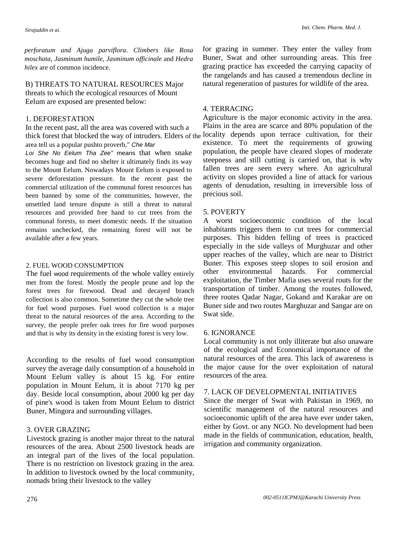*Inti. Chem. Pharm. Med. J.*

*perforatum and Ajuga parviflora. Climbers like Rosa moschata, Jasminum humile, Jasminum officinale* and *Hedra hilex* are of common incidence.

B) THREATS TO NATURAL RESOURCES Major threats to which the ecological resources of Mount Eelum are exposed are presented below:

### 1. DEFORESTATION

In the recent past, all the area was covered with such a thick forest that blocked the way of intruders. Elders of the locality depends upon terrace cultivation, for their area tell us a popular pushto proverb," Che Mar

Loi She No Eelum Tha Zee" means that when snake becomes huge and find no shelter it ultimately finds its way to the Mount Eelum. Nowadays Mount Eelum is exposed to severe deforestation pressure. In the recent past the commercial utilization of the communal forest resources has been banned by some of the communities, however, the unsettled land tenure dispute is still a threat to natural resources and provided free hand to cut trees from the communal forests, to meet domestic needs. If the situation remains unchecked, the remaining forest will not be available after a few years.

#### 2. FUEL WOOD CONSUMPTION

The fuel wood requirements of the whole valley entirely met from the forest. Mostly the people prune and lop the forest trees for firewood. Dead and decayed branch collection is also common. Sometime they cut the whole tree for fuel wood purposes. Fuel wood collection is a major threat to the natural resources of the area. According to the survey, the people prefer oak trees for fire wood purposes and that is why its density in the existing forest is very low.

According to the results of fuel wood consumption survey the average daily consumption of a household in Mount Eelum valley is about 15 kg. For entire population in Mount Eelum, it is about 7170 kg per day. Beside local consumption, about 2000 kg per day of pine's wood is taken from Mount Eelum to district Buner, Mingora and surrounding villages.

## 3. OVER GRAZING

Livestock grazing is another major threat to the natural resources of the area. About 2500 livestock heads are an integral part of the lives of the local population. There is no restriction on livestock grazing in the area. In addition to livestock owned by the local community, nomads bring their livestock to the valley

for grazing in summer. They enter the valley from Buner, Swat and other surrounding areas. This free grazing practice has exceeded the carrying capacity of the rangelands and has caused a tremendous decline in natural regeneration of pastures for wildlife of the area.

# 4. TERRACING

Agriculture is the major economic activity in the area. Plains in the area are scarce and 80% population of the existence. To meet the requirements of growing population, the people have cleared slopes of moderate steepness and still cutting is carried on, that is why fallen trees are seen every where. An agricultural activity on slopes provided a line of attack for various agents of denudation, resulting in irreversible loss of precious soil.

### 5. POVERTY

A worst socioeconomic condition of the local inhabitants triggers them to cut trees for commercial purposes. This hidden felling of trees is practiced especially in the side valleys of Murghuzar and other upper reaches of the valley, which are near to District Buner. This exposes steep slopes to soil erosion and other environmental hazards. For commercial exploitation, the Timber Mafia uses several routs for the transportation of timber. Among the routes followed, three routes Qadar Nagar, Gokand and Karakar are on Buner side and two routes Marghuzar and Sangar are on Swat side.

### 6. IGNORANCE

Local community is not only illiterate but also unaware of the ecological and Economical importance of the natural resources of the area. This lack of awareness is the major cause for the over exploitation of natural resources of the area.

# 7. LACK OF DEVELOPMENTAL INITIATIVES

Since the merger of Swat with Pakistan in 1969, no scientific management of the natural resources and socioeconomic uplift of the area have ever under taken, either by Govt. or any NGO. No development had been made in the fields of communication, education, health, irrigation and community organization.